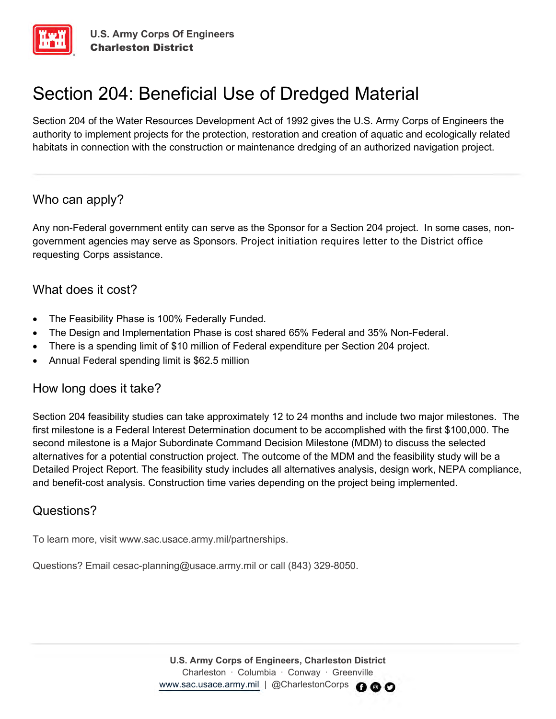

# Section 204: Beneficial Use of Dredged Material

Section 204 of the Water Resources Development Act of 1992 gives the U.S. Army Corps of Engineers the authority to implement projects for the protection, restoration and creation of aquatic and ecologically related habitats in connection with the construction or maintenance dredging of an authorized navigation project.

### Who can apply?

Any non-Federal government entity can serve as the Sponsor for a Section 204 project. In some cases, nongovernment agencies may serve as Sponsors. Project initiation requires letter to the District office requesting Corps assistance.

### What does it cost?

- The Feasibility Phase is 100% Federally Funded.
- The Design and Implementation Phase is cost shared 65% Federal and 35% Non-Federal.
- There is a spending limit of \$10 million of Federal expenditure per Section 204 project.
- Annual Federal spending limit is \$62.5 million

### How long does it take?

Section 204 feasibility studies can take approximately 12 to 24 months and include two major milestones. The first milestone is a Federal Interest Determination document to be accomplished with the first \$100,000. The second milestone is a Major Subordinate Command Decision Milestone (MDM) to discuss the selected alternatives for a potential construction project. The outcome of the MDM and the feasibility study will be a Detailed Project Report. The feasibility study includes all alternatives analysis, design work, NEPA compliance, and benefit-cost analysis. Construction time varies depending on the project being implemented.

## Questions?

To learn more, visit www.sac.usace.army.mil/partnerships.

Questions? Email cesac-planning@usace.army.mil or call (843) 329-8050.